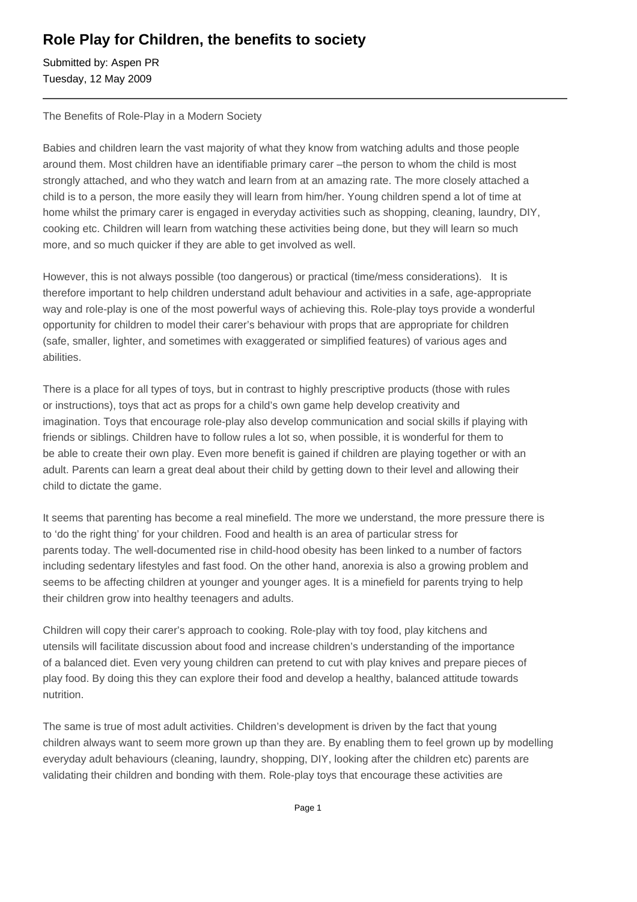## **Role Play for Children, the benefits to society**

Submitted by: Aspen PR Tuesday, 12 May 2009

The Benefits of Role-Play in a Modern Society

Babies and children learn the vast majority of what they know from watching adults and those people around them. Most children have an identifiable primary carer –the person to whom the child is most strongly attached, and who they watch and learn from at an amazing rate. The more closely attached a child is to a person, the more easily they will learn from him/her. Young children spend a lot of time at home whilst the primary carer is engaged in everyday activities such as shopping, cleaning, laundry, DIY, cooking etc. Children will learn from watching these activities being done, but they will learn so much more, and so much quicker if they are able to get involved as well.

However, this is not always possible (too dangerous) or practical (time/mess considerations). It is therefore important to help children understand adult behaviour and activities in a safe, age-appropriate way and role-play is one of the most powerful ways of achieving this. Role-play toys provide a wonderful opportunity for children to model their carer's behaviour with props that are appropriate for children (safe, smaller, lighter, and sometimes with exaggerated or simplified features) of various ages and abilities.

There is a place for all types of toys, but in contrast to highly prescriptive products (those with rules or instructions), toys that act as props for a child's own game help develop creativity and imagination. Toys that encourage role-play also develop communication and social skills if playing with friends or siblings. Children have to follow rules a lot so, when possible, it is wonderful for them to be able to create their own play. Even more benefit is gained if children are playing together or with an adult. Parents can learn a great deal about their child by getting down to their level and allowing their child to dictate the game.

It seems that parenting has become a real minefield. The more we understand, the more pressure there is to 'do the right thing' for your children. Food and health is an area of particular stress for parents today. The well-documented rise in child-hood obesity has been linked to a number of factors including sedentary lifestyles and fast food. On the other hand, anorexia is also a growing problem and seems to be affecting children at younger and younger ages. It is a minefield for parents trying to help their children grow into healthy teenagers and adults.

Children will copy their carer's approach to cooking. Role-play with toy food, play kitchens and utensils will facilitate discussion about food and increase children's understanding of the importance of a balanced diet. Even very young children can pretend to cut with play knives and prepare pieces of play food. By doing this they can explore their food and develop a healthy, balanced attitude towards nutrition.

The same is true of most adult activities. Children's development is driven by the fact that young children always want to seem more grown up than they are. By enabling them to feel grown up by modelling everyday adult behaviours (cleaning, laundry, shopping, DIY, looking after the children etc) parents are validating their children and bonding with them. Role-play toys that encourage these activities are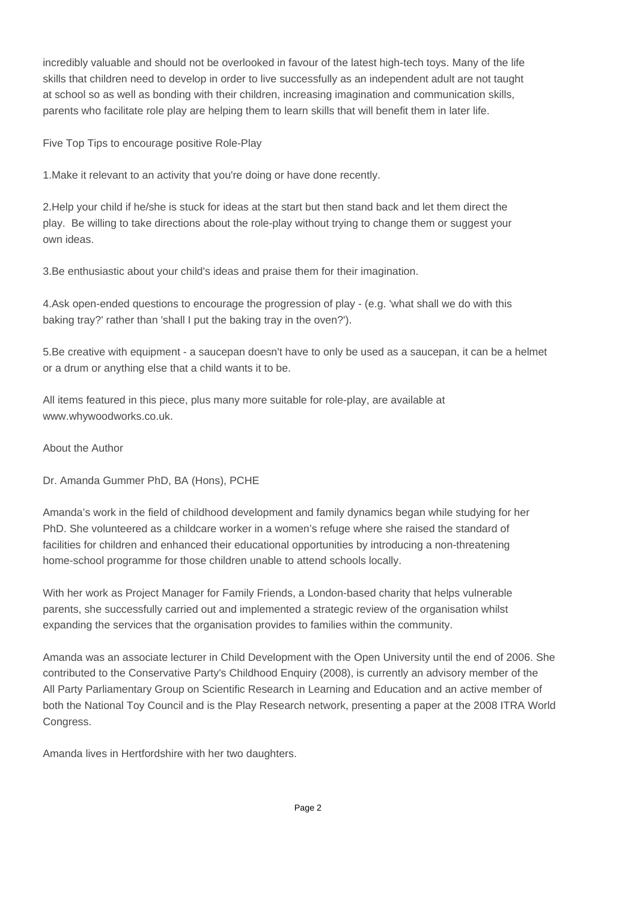incredibly valuable and should not be overlooked in favour of the latest high-tech toys. Many of the life skills that children need to develop in order to live successfully as an independent adult are not taught at school so as well as bonding with their children, increasing imagination and communication skills, parents who facilitate role play are helping them to learn skills that will benefit them in later life.

Five Top Tips to encourage positive Role-Play

1. Make it relevant to an activity that you're doing or have done recently.

2. Help your child if he/she is stuck for ideas at the start but then stand back and let them direct the play. Be willing to take directions about the role-play without trying to change them or suggest your own ideas.

3. Be enthusiastic about your child's ideas and praise them for their imagination.

4. Ask open-ended questions to encourage the progression of play - (e.g. 'what shall we do with this baking tray?' rather than 'shall I put the baking tray in the oven?').

5. Be creative with equipment - a saucepan doesn't have to only be used as a saucepan, it can be a helmet or a drum or anything else that a child wants it to be.

All items featured in this piece, plus many more suitable for role-play, are available at www.whywoodworks.co.uk.

About the Author

Dr. Amanda Gummer PhD, BA (Hons), PCHE

Amanda's work in the field of childhood development and family dynamics began while studying for her PhD. She volunteered as a childcare worker in a women's refuge where she raised the standard of facilities for children and enhanced their educational opportunities by introducing a non-threatening home-school programme for those children unable to attend schools locally.

With her work as Project Manager for Family Friends, a London-based charity that helps vulnerable parents, she successfully carried out and implemented a strategic review of the organisation whilst expanding the services that the organisation provides to families within the community.

Amanda was an associate lecturer in Child Development with the Open University until the end of 2006. She contributed to the Conservative Party's Childhood Enquiry (2008), is currently an advisory member of the All Party Parliamentary Group on Scientific Research in Learning and Education and an active member of both the National Toy Council and is the Play Research network, presenting a paper at the 2008 ITRA World Congress.

Amanda lives in Hertfordshire with her two daughters.